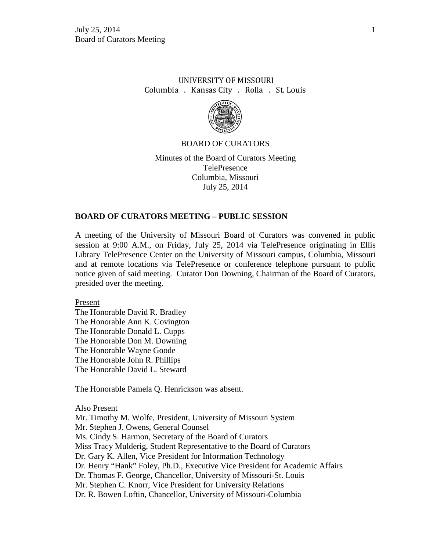# UNIVERSITY OF MISSOURI Columbia . Kansas City . Rolla . St. Louis



## BOARD OF CURATORS

Minutes of the Board of Curators Meeting TelePresence Columbia, Missouri July 25, 2014

#### **BOARD OF CURATORS MEETING – PUBLIC SESSION**

A meeting of the University of Missouri Board of Curators was convened in public session at 9:00 A.M., on Friday, July 25, 2014 via TelePresence originating in Ellis Library TelePresence Center on the University of Missouri campus, Columbia, Missouri and at remote locations via TelePresence or conference telephone pursuant to public notice given of said meeting. Curator Don Downing, Chairman of the Board of Curators, presided over the meeting.

Present

The Honorable David R. Bradley The Honorable Ann K. Covington The Honorable Donald L. Cupps The Honorable Don M. Downing The Honorable Wayne Goode The Honorable John R. Phillips The Honorable David L. Steward

The Honorable Pamela Q. Henrickson was absent.

#### Also Present

Mr. Timothy M. Wolfe, President, University of Missouri System Mr. Stephen J. Owens, General Counsel Ms. Cindy S. Harmon, Secretary of the Board of Curators Miss Tracy Mulderig, Student Representative to the Board of Curators Dr. Gary K. Allen, Vice President for Information Technology Dr. Henry "Hank" Foley, Ph.D., Executive Vice President for Academic Affairs Dr. Thomas F. George, Chancellor, University of Missouri-St. Louis Mr. Stephen C. Knorr, Vice President for University Relations Dr. R. Bowen Loftin, Chancellor, University of Missouri-Columbia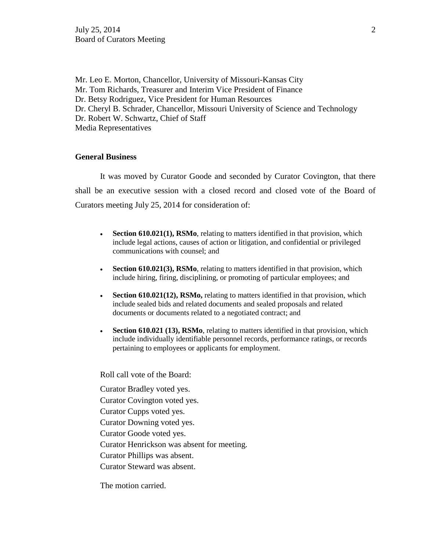Mr. Leo E. Morton, Chancellor, University of Missouri-Kansas City Mr. Tom Richards, Treasurer and Interim Vice President of Finance Dr. Betsy Rodriguez, Vice President for Human Resources Dr. Cheryl B. Schrader, Chancellor, Missouri University of Science and Technology Dr. Robert W. Schwartz, Chief of Staff Media Representatives

# **General Business**

It was moved by Curator Goode and seconded by Curator Covington, that there shall be an executive session with a closed record and closed vote of the Board of Curators meeting July 25, 2014 for consideration of:

- **Section 610.021(1), RSMo**, relating to matters identified in that provision, which include legal actions, causes of action or litigation, and confidential or privileged communications with counsel; and
- **Section 610.021(3), RSMo**, relating to matters identified in that provision, which include hiring, firing, disciplining, or promoting of particular employees; and
- **Section 610.021(12), RSMo,** relating to matters identified in that provision, which include sealed bids and related documents and sealed proposals and related documents or documents related to a negotiated contract; and
- **Section 610.021 (13), RSMo**, relating to matters identified in that provision, which include individually identifiable personnel records, performance ratings, or records pertaining to employees or applicants for employment.

Roll call vote of the Board:

Curator Bradley voted yes.

Curator Covington voted yes.

Curator Cupps voted yes.

Curator Downing voted yes.

Curator Goode voted yes.

Curator Henrickson was absent for meeting.

Curator Phillips was absent.

Curator Steward was absent.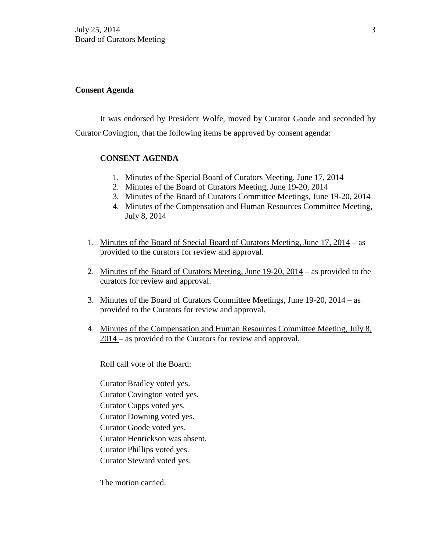### **Consent Agenda**

It was endorsed by President Wolfe, moved by Curator Goode and seconded by Curator Covington, that the following items be approved by consent agenda:

# **CONSENT AGENDA**

- 1. Minutes of the Special Board of Curators Meeting, June 17, 2014
- 2. Minutes of the Board of Curators Meeting, June 19-20, 2014
- 3. Minutes of the Board of Curators Committee Meetings, June 19-20, 2014
- 4. Minutes of the Compensation and Human Resources Committee Meeting, July 8, 2014
- 1. Minutes of the Board of Special Board of Curators Meeting, June 17, 2014 as provided to the curators for review and approval.
- 2. Minutes of the Board of Curators Meeting, June 19-20, 2014 as provided to the curators for review and approval.
- 3. Minutes of the Board of Curators Committee Meetings, June 19-20, 2014 as provided to the Curators for review and approval.
- 4. Minutes of the Compensation and Human Resources Committee Meeting, July 8, 2014 – as provided to the Curators for review and approval.

Roll call vote of the Board:

Curator Bradley voted yes. Curator Covington voted yes. Curator Cupps voted yes. Curator Downing voted yes. Curator Goode voted yes. Curator Henrickson was absent. Curator Phillips voted yes. Curator Steward voted yes.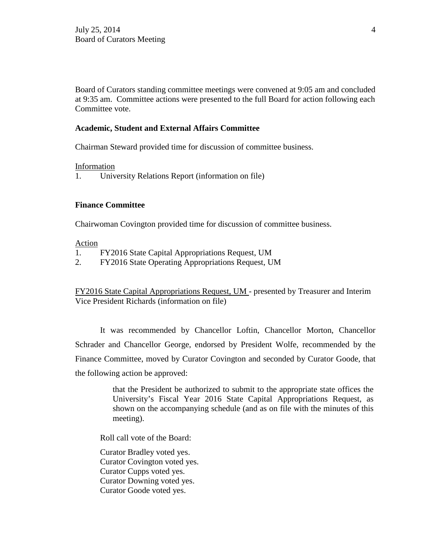Board of Curators standing committee meetings were convened at 9:05 am and concluded at 9:35 am. Committee actions were presented to the full Board for action following each Committee vote.

## **Academic, Student and External Affairs Committee**

Chairman Steward provided time for discussion of committee business.

#### Information

1. University Relations Report (information on file)

## **Finance Committee**

Chairwoman Covington provided time for discussion of committee business.

### Action

- 1. FY2016 State Capital Appropriations Request, UM
- 2. FY2016 State Operating Appropriations Request, UM

FY2016 State Capital Appropriations Request, UM - presented by Treasurer and Interim Vice President Richards (information on file)

It was recommended by Chancellor Loftin, Chancellor Morton, Chancellor Schrader and Chancellor George, endorsed by President Wolfe, recommended by the Finance Committee, moved by Curator Covington and seconded by Curator Goode, that the following action be approved:

> that the President be authorized to submit to the appropriate state offices the University's Fiscal Year 2016 State Capital Appropriations Request, as shown on the accompanying schedule (and as on file with the minutes of this meeting).

Roll call vote of the Board:

Curator Bradley voted yes. Curator Covington voted yes. Curator Cupps voted yes. Curator Downing voted yes. Curator Goode voted yes.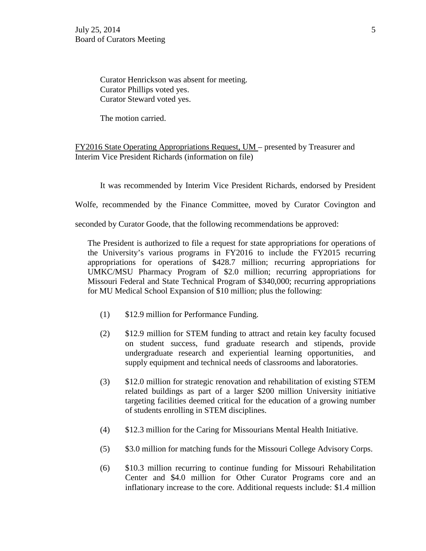Curator Henrickson was absent for meeting. Curator Phillips voted yes. Curator Steward voted yes.

The motion carried.

FY2016 State Operating Appropriations Request, UM – presented by Treasurer and Interim Vice President Richards (information on file)

It was recommended by Interim Vice President Richards, endorsed by President

Wolfe, recommended by the Finance Committee, moved by Curator Covington and

seconded by Curator Goode, that the following recommendations be approved:

The President is authorized to file a request for state appropriations for operations of the University's various programs in FY2016 to include the FY2015 recurring appropriations for operations of \$428.7 million; recurring appropriations for UMKC/MSU Pharmacy Program of \$2.0 million; recurring appropriations for Missouri Federal and State Technical Program of \$340,000; recurring appropriations for MU Medical School Expansion of \$10 million; plus the following:

- (1) \$12.9 million for Performance Funding.
- (2) \$12.9 million for STEM funding to attract and retain key faculty focused on student success, fund graduate research and stipends, provide undergraduate research and experiential learning opportunities, and supply equipment and technical needs of classrooms and laboratories.
- (3) \$12.0 million for strategic renovation and rehabilitation of existing STEM related buildings as part of a larger \$200 million University initiative targeting facilities deemed critical for the education of a growing number of students enrolling in STEM disciplines.
- (4) \$12.3 million for the Caring for Missourians Mental Health Initiative.
- (5) \$3.0 million for matching funds for the Missouri College Advisory Corps.
- (6) \$10.3 million recurring to continue funding for Missouri Rehabilitation Center and \$4.0 million for Other Curator Programs core and an inflationary increase to the core. Additional requests include: \$1.4 million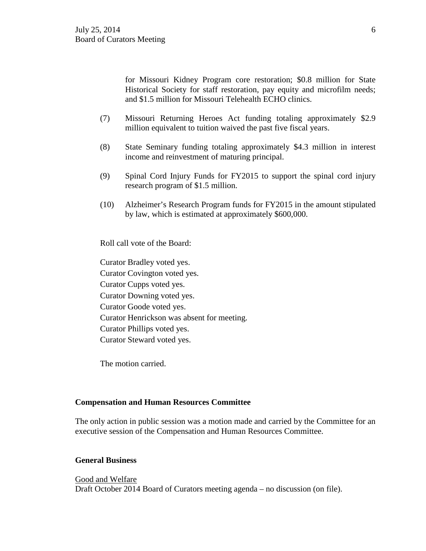for Missouri Kidney Program core restoration; \$0.8 million for State Historical Society for staff restoration, pay equity and microfilm needs; and \$1.5 million for Missouri Telehealth ECHO clinics.

- (7) Missouri Returning Heroes Act funding totaling approximately \$2.9 million equivalent to tuition waived the past five fiscal years.
- (8) State Seminary funding totaling approximately \$4.3 million in interest income and reinvestment of maturing principal.
- (9) Spinal Cord Injury Funds for FY2015 to support the spinal cord injury research program of \$1.5 million.
- (10) Alzheimer's Research Program funds for FY2015 in the amount stipulated by law, which is estimated at approximately \$600,000.

Roll call vote of the Board:

Curator Bradley voted yes. Curator Covington voted yes. Curator Cupps voted yes. Curator Downing voted yes. Curator Goode voted yes. Curator Henrickson was absent for meeting. Curator Phillips voted yes. Curator Steward voted yes.

The motion carried.

#### **Compensation and Human Resources Committee**

The only action in public session was a motion made and carried by the Committee for an executive session of the Compensation and Human Resources Committee.

## **General Business**

Good and Welfare Draft October 2014 Board of Curators meeting agenda – no discussion (on file).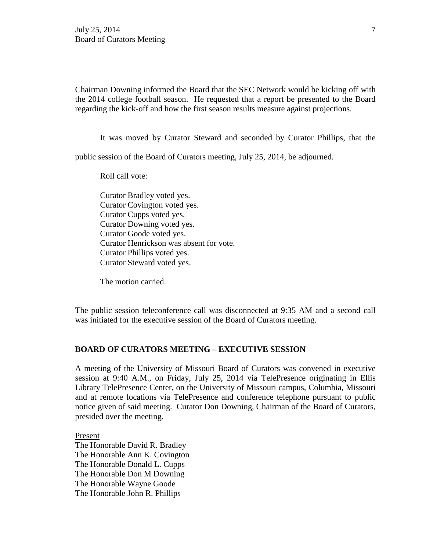Chairman Downing informed the Board that the SEC Network would be kicking off with the 2014 college football season. He requested that a report be presented to the Board regarding the kick-off and how the first season results measure against projections.

It was moved by Curator Steward and seconded by Curator Phillips, that the

public session of the Board of Curators meeting, July 25, 2014, be adjourned.

Roll call vote:

Curator Bradley voted yes. Curator Covington voted yes. Curator Cupps voted yes. Curator Downing voted yes. Curator Goode voted yes. Curator Henrickson was absent for vote. Curator Phillips voted yes. Curator Steward voted yes.

The motion carried.

The public session teleconference call was disconnected at 9:35 AM and a second call was initiated for the executive session of the Board of Curators meeting.

#### **BOARD OF CURATORS MEETING – EXECUTIVE SESSION**

A meeting of the University of Missouri Board of Curators was convened in executive session at 9:40 A.M., on Friday, July 25, 2014 via TelePresence originating in Ellis Library TelePresence Center, on the University of Missouri campus, Columbia, Missouri and at remote locations via TelePresence and conference telephone pursuant to public notice given of said meeting. Curator Don Downing, Chairman of the Board of Curators, presided over the meeting.

Present

The Honorable David R. Bradley The Honorable Ann K. Covington The Honorable Donald L. Cupps The Honorable Don M Downing The Honorable Wayne Goode The Honorable John R. Phillips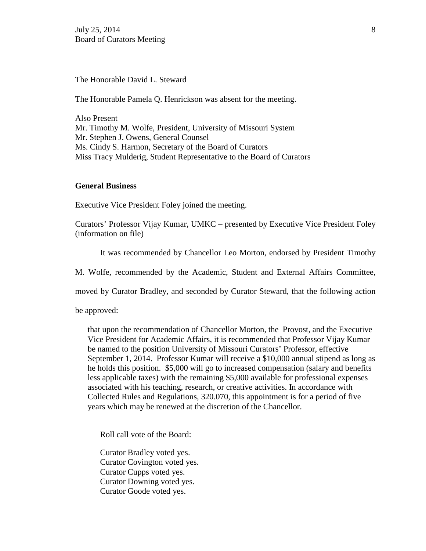The Honorable David L. Steward

The Honorable Pamela Q. Henrickson was absent for the meeting.

Also Present Mr. Timothy M. Wolfe, President, University of Missouri System Mr. Stephen J. Owens, General Counsel Ms. Cindy S. Harmon, Secretary of the Board of Curators Miss Tracy Mulderig, Student Representative to the Board of Curators

#### **General Business**

Executive Vice President Foley joined the meeting.

Curators' Professor Vijay Kumar, UMKC – presented by Executive Vice President Foley (information on file)

It was recommended by Chancellor Leo Morton, endorsed by President Timothy

M. Wolfe, recommended by the Academic, Student and External Affairs Committee,

moved by Curator Bradley, and seconded by Curator Steward, that the following action

be approved:

that upon the recommendation of Chancellor Morton, the Provost, and the Executive Vice President for Academic Affairs, it is recommended that Professor Vijay Kumar be named to the position University of Missouri Curators' Professor, effective September 1, 2014. Professor Kumar will receive a \$10,000 annual stipend as long as he holds this position. \$5,000 will go to increased compensation (salary and benefits less applicable taxes) with the remaining \$5,000 available for professional expenses associated with his teaching, research, or creative activities. In accordance with Collected Rules and Regulations, 320.070, this appointment is for a period of five years which may be renewed at the discretion of the Chancellor.

Roll call vote of the Board:

Curator Bradley voted yes. Curator Covington voted yes. Curator Cupps voted yes. Curator Downing voted yes. Curator Goode voted yes.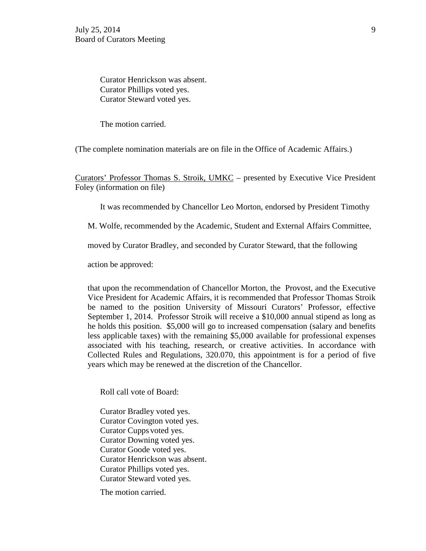Curator Henrickson was absent. Curator Phillips voted yes. Curator Steward voted yes.

The motion carried.

(The complete nomination materials are on file in the Office of Academic Affairs.)

Curators' Professor Thomas S. Stroik, UMKC – presented by Executive Vice President Foley (information on file)

It was recommended by Chancellor Leo Morton, endorsed by President Timothy

M. Wolfe, recommended by the Academic, Student and External Affairs Committee,

moved by Curator Bradley, and seconded by Curator Steward, that the following

action be approved:

that upon the recommendation of Chancellor Morton, the Provost, and the Executive Vice President for Academic Affairs, it is recommended that Professor Thomas Stroik be named to the position University of Missouri Curators' Professor, effective September 1, 2014. Professor Stroik will receive a \$10,000 annual stipend as long as he holds this position. \$5,000 will go to increased compensation (salary and benefits less applicable taxes) with the remaining \$5,000 available for professional expenses associated with his teaching, research, or creative activities. In accordance with Collected Rules and Regulations, 320.070, this appointment is for a period of five years which may be renewed at the discretion of the Chancellor.

Roll call vote of Board:

Curator Bradley voted yes. Curator Covington voted yes. Curator Cupps voted yes. Curator Downing voted yes. Curator Goode voted yes. Curator Henrickson was absent. Curator Phillips voted yes. Curator Steward voted yes.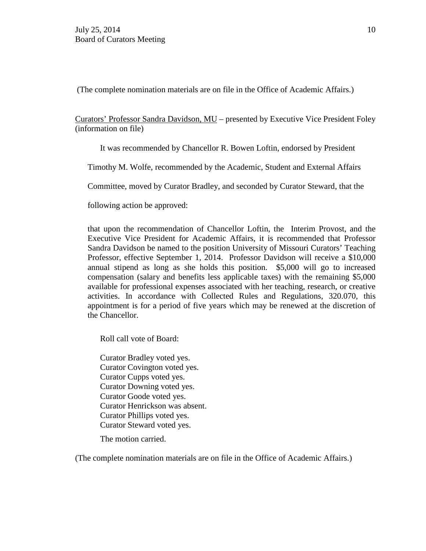(The complete nomination materials are on file in the Office of Academic Affairs.)

Curators' Professor Sandra Davidson, MU – presented by Executive Vice President Foley (information on file)

It was recommended by Chancellor R. Bowen Loftin, endorsed by President

Timothy M. Wolfe, recommended by the Academic, Student and External Affairs

Committee, moved by Curator Bradley, and seconded by Curator Steward, that the

following action be approved:

that upon the recommendation of Chancellor Loftin, the Interim Provost, and the Executive Vice President for Academic Affairs, it is recommended that Professor Sandra Davidson be named to the position University of Missouri Curators' Teaching Professor, effective September 1, 2014. Professor Davidson will receive a \$10,000 annual stipend as long as she holds this position. \$5,000 will go to increased compensation (salary and benefits less applicable taxes) with the remaining \$5,000 available for professional expenses associated with her teaching, research, or creative activities. In accordance with Collected Rules and Regulations, 320.070, this appointment is for a period of five years which may be renewed at the discretion of the Chancellor.

Roll call vote of Board:

Curator Bradley voted yes. Curator Covington voted yes. Curator Cupps voted yes. Curator Downing voted yes. Curator Goode voted yes. Curator Henrickson was absent. Curator Phillips voted yes. Curator Steward voted yes.

The motion carried.

(The complete nomination materials are on file in the Office of Academic Affairs.)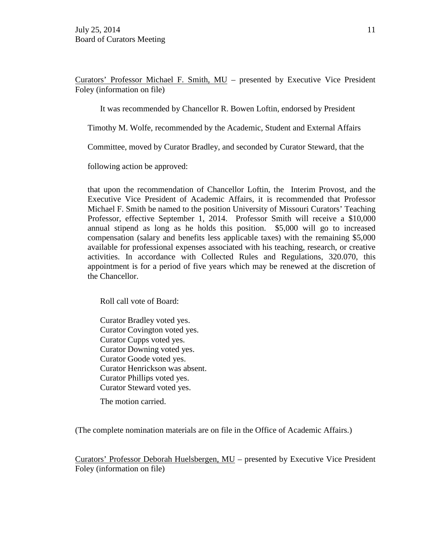Curators' Professor Michael F. Smith, MU – presented by Executive Vice President Foley (information on file)

It was recommended by Chancellor R. Bowen Loftin, endorsed by President

Timothy M. Wolfe, recommended by the Academic, Student and External Affairs

Committee, moved by Curator Bradley, and seconded by Curator Steward, that the

following action be approved:

that upon the recommendation of Chancellor Loftin, the Interim Provost, and the Executive Vice President of Academic Affairs, it is recommended that Professor Michael F. Smith be named to the position University of Missouri Curators' Teaching Professor, effective September 1, 2014. Professor Smith will receive a \$10,000 annual stipend as long as he holds this position. \$5,000 will go to increased compensation (salary and benefits less applicable taxes) with the remaining \$5,000 available for professional expenses associated with his teaching, research, or creative activities. In accordance with Collected Rules and Regulations, 320.070, this appointment is for a period of five years which may be renewed at the discretion of the Chancellor.

Roll call vote of Board:

Curator Bradley voted yes. Curator Covington voted yes. Curator Cupps voted yes. Curator Downing voted yes. Curator Goode voted yes. Curator Henrickson was absent. Curator Phillips voted yes. Curator Steward voted yes.

The motion carried.

(The complete nomination materials are on file in the Office of Academic Affairs.)

Curators' Professor Deborah Huelsbergen, MU – presented by Executive Vice President Foley (information on file)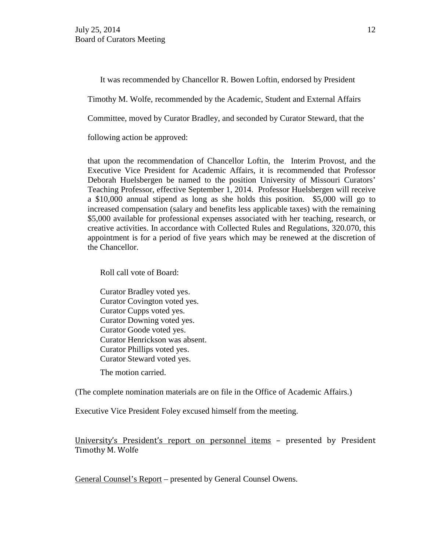It was recommended by Chancellor R. Bowen Loftin, endorsed by President

Timothy M. Wolfe, recommended by the Academic, Student and External Affairs

Committee, moved by Curator Bradley, and seconded by Curator Steward, that the

following action be approved:

that upon the recommendation of Chancellor Loftin, the Interim Provost, and the Executive Vice President for Academic Affairs, it is recommended that Professor Deborah Huelsbergen be named to the position University of Missouri Curators' Teaching Professor, effective September 1, 2014. Professor Huelsbergen will receive a \$10,000 annual stipend as long as she holds this position. \$5,000 will go to increased compensation (salary and benefits less applicable taxes) with the remaining \$5,000 available for professional expenses associated with her teaching, research, or creative activities. In accordance with Collected Rules and Regulations, 320.070, this appointment is for a period of five years which may be renewed at the discretion of the Chancellor.

Roll call vote of Board:

Curator Bradley voted yes. Curator Covington voted yes. Curator Cupps voted yes. Curator Downing voted yes. Curator Goode voted yes. Curator Henrickson was absent. Curator Phillips voted yes. Curator Steward voted yes.

The motion carried.

(The complete nomination materials are on file in the Office of Academic Affairs.)

Executive Vice President Foley excused himself from the meeting.

University's President's report on personnel items – presented by President Timothy M. Wolfe

General Counsel's Report – presented by General Counsel Owens.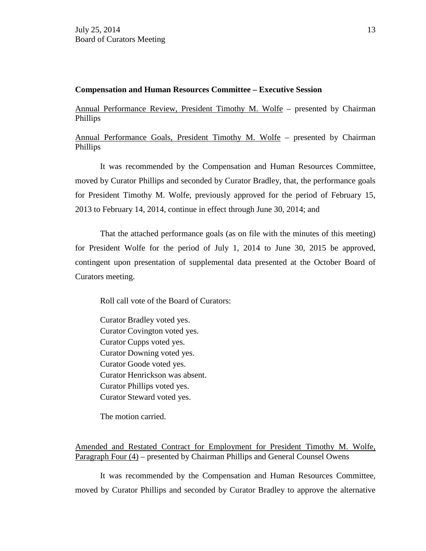## **Compensation and Human Resources Committee – Executive Session**

Annual Performance Review, President Timothy M. Wolfe – presented by Chairman Phillips

Annual Performance Goals, President Timothy M. Wolfe – presented by Chairman Phillips

It was recommended by the Compensation and Human Resources Committee, moved by Curator Phillips and seconded by Curator Bradley, that, the performance goals for President Timothy M. Wolfe, previously approved for the period of February 15, 2013 to February 14, 2014, continue in effect through June 30, 2014; and

That the attached performance goals (as on file with the minutes of this meeting) for President Wolfe for the period of July 1, 2014 to June 30, 2015 be approved, contingent upon presentation of supplemental data presented at the October Board of Curators meeting.

Roll call vote of the Board of Curators:

Curator Bradley voted yes. Curator Covington voted yes. Curator Cupps voted yes. Curator Downing voted yes. Curator Goode voted yes. Curator Henrickson was absent. Curator Phillips voted yes. Curator Steward voted yes.

The motion carried.

Amended and Restated Contract for Employment for President Timothy M. Wolfe, Paragraph Four (4) – presented by Chairman Phillips and General Counsel Owens

It was recommended by the Compensation and Human Resources Committee, moved by Curator Phillips and seconded by Curator Bradley to approve the alternative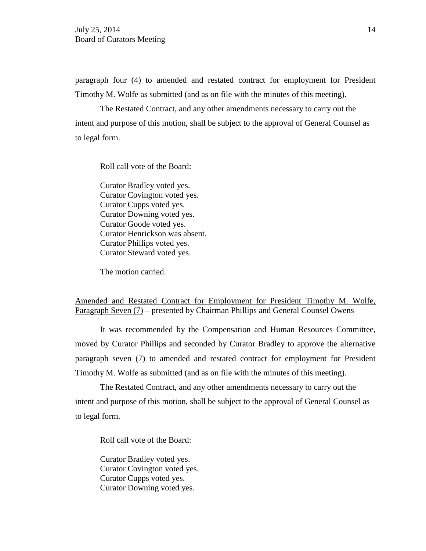paragraph four (4) to amended and restated contract for employment for President Timothy M. Wolfe as submitted (and as on file with the minutes of this meeting).

The Restated Contract, and any other amendments necessary to carry out the intent and purpose of this motion, shall be subject to the approval of General Counsel as to legal form.

Roll call vote of the Board:

Curator Bradley voted yes. Curator Covington voted yes. Curator Cupps voted yes. Curator Downing voted yes. Curator Goode voted yes. Curator Henrickson was absent. Curator Phillips voted yes. Curator Steward voted yes.

The motion carried.

# Amended and Restated Contract for Employment for President Timothy M. Wolfe, Paragraph Seven (7) – presented by Chairman Phillips and General Counsel Owens

It was recommended by the Compensation and Human Resources Committee, moved by Curator Phillips and seconded by Curator Bradley to approve the alternative paragraph seven (7) to amended and restated contract for employment for President Timothy M. Wolfe as submitted (and as on file with the minutes of this meeting).

The Restated Contract, and any other amendments necessary to carry out the intent and purpose of this motion, shall be subject to the approval of General Counsel as to legal form.

Roll call vote of the Board:

Curator Bradley voted yes. Curator Covington voted yes. Curator Cupps voted yes. Curator Downing voted yes.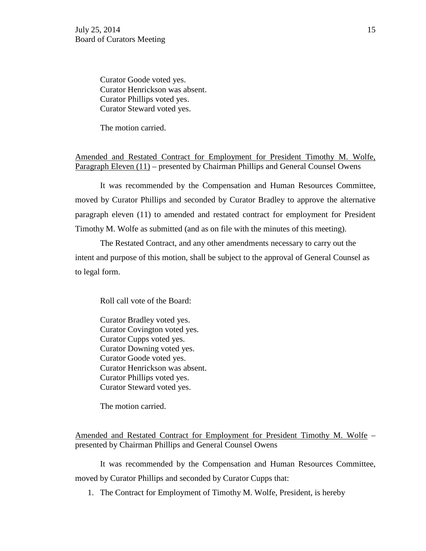Curator Goode voted yes. Curator Henrickson was absent. Curator Phillips voted yes. Curator Steward voted yes.

The motion carried.

Amended and Restated Contract for Employment for President Timothy M. Wolfe, Paragraph Eleven (11) – presented by Chairman Phillips and General Counsel Owens

It was recommended by the Compensation and Human Resources Committee, moved by Curator Phillips and seconded by Curator Bradley to approve the alternative paragraph eleven (11) to amended and restated contract for employment for President Timothy M. Wolfe as submitted (and as on file with the minutes of this meeting).

The Restated Contract, and any other amendments necessary to carry out the intent and purpose of this motion, shall be subject to the approval of General Counsel as to legal form.

Roll call vote of the Board:

Curator Bradley voted yes. Curator Covington voted yes. Curator Cupps voted yes. Curator Downing voted yes. Curator Goode voted yes. Curator Henrickson was absent. Curator Phillips voted yes. Curator Steward voted yes.

The motion carried.

Amended and Restated Contract for Employment for President Timothy M. Wolfe – presented by Chairman Phillips and General Counsel Owens

It was recommended by the Compensation and Human Resources Committee, moved by Curator Phillips and seconded by Curator Cupps that:

1. The Contract for Employment of Timothy M. Wolfe, President, is hereby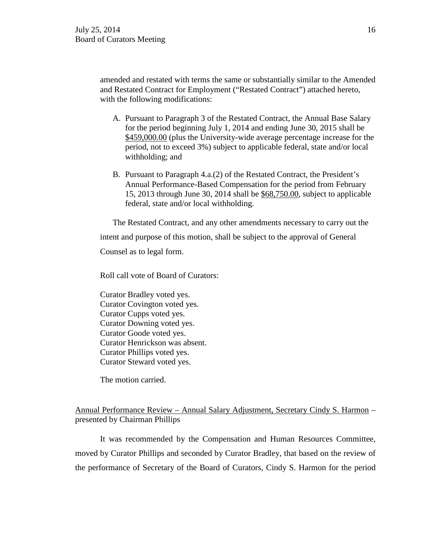amended and restated with terms the same or substantially similar to the Amended and Restated Contract for Employment ("Restated Contract") attached hereto, with the following modifications:

- A. Pursuant to Paragraph 3 of the Restated Contract, the Annual Base Salary for the period beginning July 1, 2014 and ending June 30, 2015 shall be \$459,000.00 (plus the University-wide average percentage increase for the period, not to exceed 3%) subject to applicable federal, state and/or local withholding; and
- B. Pursuant to Paragraph 4.a.(2) of the Restated Contract, the President's Annual Performance-Based Compensation for the period from February 15, 2013 through June 30, 2014 shall be \$68,750.00, subject to applicable federal, state and/or local withholding.

The Restated Contract, and any other amendments necessary to carry out the intent and purpose of this motion, shall be subject to the approval of General Counsel as to legal form.

Roll call vote of Board of Curators:

Curator Bradley voted yes. Curator Covington voted yes. Curator Cupps voted yes. Curator Downing voted yes. Curator Goode voted yes. Curator Henrickson was absent. Curator Phillips voted yes. Curator Steward voted yes.

The motion carried.

# Annual Performance Review – Annual Salary Adjustment, Secretary Cindy S. Harmon – presented by Chairman Phillips

It was recommended by the Compensation and Human Resources Committee, moved by Curator Phillips and seconded by Curator Bradley, that based on the review of the performance of Secretary of the Board of Curators, Cindy S. Harmon for the period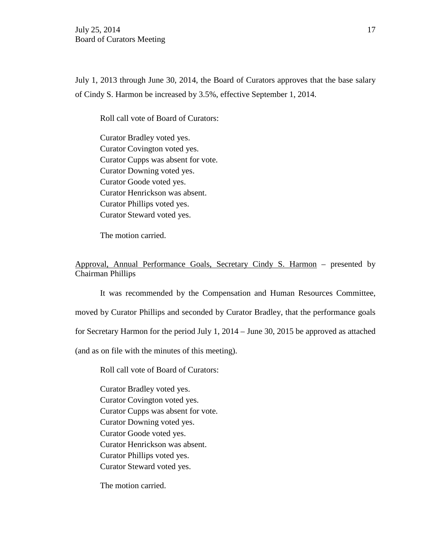July 1, 2013 through June 30, 2014, the Board of Curators approves that the base salary of Cindy S. Harmon be increased by 3.5%, effective September 1, 2014.

Roll call vote of Board of Curators:

Curator Bradley voted yes. Curator Covington voted yes. Curator Cupps was absent for vote. Curator Downing voted yes. Curator Goode voted yes. Curator Henrickson was absent. Curator Phillips voted yes. Curator Steward voted yes.

The motion carried.

Approval, Annual Performance Goals, Secretary Cindy S. Harmon – presented by Chairman Phillips

It was recommended by the Compensation and Human Resources Committee, moved by Curator Phillips and seconded by Curator Bradley, that the performance goals for Secretary Harmon for the period July 1, 2014 – June 30, 2015 be approved as attached (and as on file with the minutes of this meeting).

Roll call vote of Board of Curators:

Curator Bradley voted yes. Curator Covington voted yes. Curator Cupps was absent for vote. Curator Downing voted yes. Curator Goode voted yes. Curator Henrickson was absent. Curator Phillips voted yes. Curator Steward voted yes.